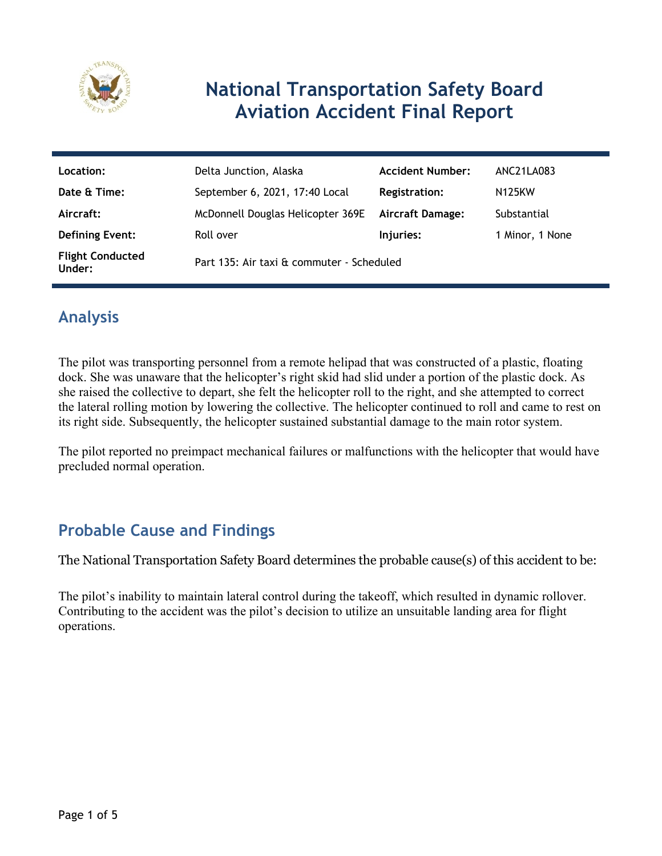

# **National Transportation Safety Board Aviation Accident Final Report**

| Location:                         | Delta Junction, Alaska                    | <b>Accident Number:</b> | ANC21LA083          |
|-----------------------------------|-------------------------------------------|-------------------------|---------------------|
| Date & Time:                      | September 6, 2021, 17:40 Local            | <b>Registration:</b>    | N <sub>125</sub> KW |
| Aircraft:                         | McDonnell Douglas Helicopter 369E         | <b>Aircraft Damage:</b> | Substantial         |
| <b>Defining Event:</b>            | Roll over                                 | Injuries:               | 1 Minor, 1 None     |
| <b>Flight Conducted</b><br>Under: | Part 135: Air taxi & commuter - Scheduled |                         |                     |

## **Analysis**

The pilot was transporting personnel from a remote helipad that was constructed of a plastic, floating dock. She was unaware that the helicopter's right skid had slid under a portion of the plastic dock. As she raised the collective to depart, she felt the helicopter roll to the right, and she attempted to correct the lateral rolling motion by lowering the collective. The helicopter continued to roll and came to rest on its right side. Subsequently, the helicopter sustained substantial damage to the main rotor system.

The pilot reported no preimpact mechanical failures or malfunctions with the helicopter that would have precluded normal operation.

### **Probable Cause and Findings**

The National Transportation Safety Board determines the probable cause(s) of this accident to be:

The pilot's inability to maintain lateral control during the takeoff, which resulted in dynamic rollover. Contributing to the accident was the pilot's decision to utilize an unsuitable landing area for flight operations.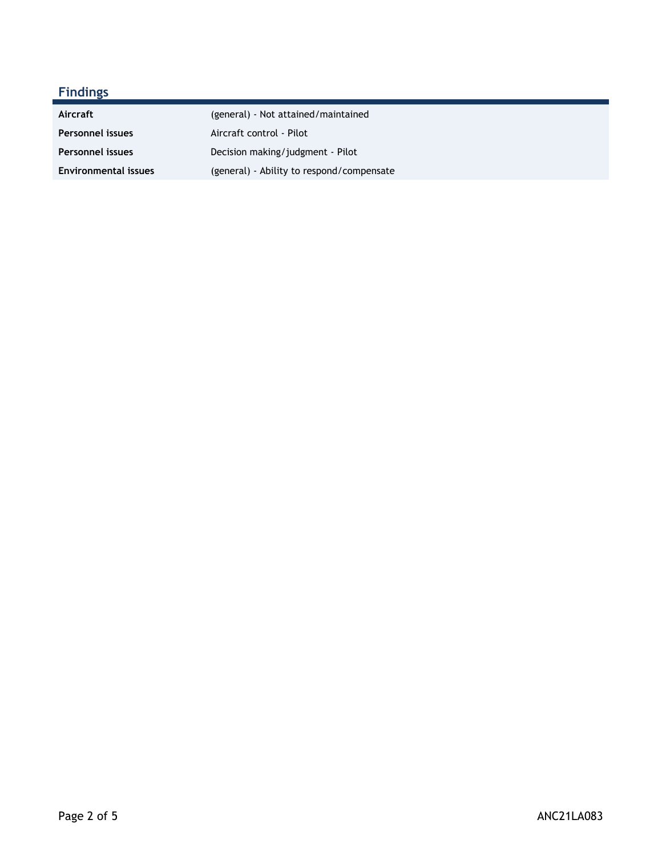### **Findings**

| Aircraft                    | (general) - Not attained/maintained       |
|-----------------------------|-------------------------------------------|
| Personnel issues            | Aircraft control - Pilot                  |
| <b>Personnel issues</b>     | Decision making/judgment - Pilot          |
| <b>Environmental issues</b> | (general) - Ability to respond/compensate |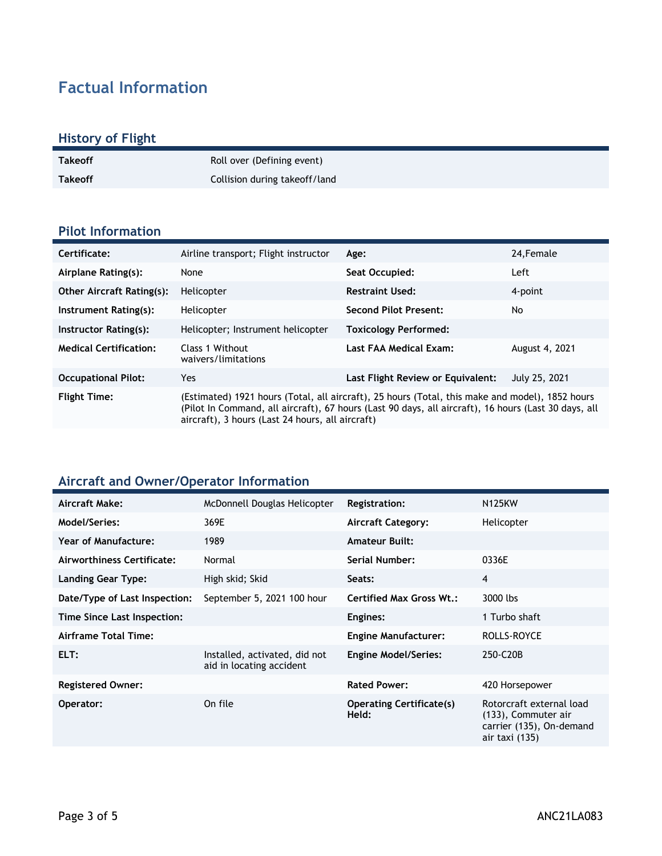# **Factual Information**

#### **History of Flight**

| <b>Takeoff</b> | Roll over (Defining event)    |
|----------------|-------------------------------|
| <b>Takeoff</b> | Collision during takeoff/land |

#### **Pilot Information**

| Certificate:                     | Airline transport; Flight instructor                                                                                                                                                                                                                        | Age:                              | 24, Female     |
|----------------------------------|-------------------------------------------------------------------------------------------------------------------------------------------------------------------------------------------------------------------------------------------------------------|-----------------------------------|----------------|
| Airplane Rating(s):              | None                                                                                                                                                                                                                                                        | Seat Occupied:                    | Left           |
| <b>Other Aircraft Rating(s):</b> | Helicopter                                                                                                                                                                                                                                                  | <b>Restraint Used:</b>            | 4-point        |
| Instrument Rating(s):            | Helicopter                                                                                                                                                                                                                                                  | <b>Second Pilot Present:</b>      | No             |
| Instructor Rating(s):            | Helicopter; Instrument helicopter                                                                                                                                                                                                                           | <b>Toxicology Performed:</b>      |                |
| <b>Medical Certification:</b>    | Class 1 Without<br>waivers/limitations                                                                                                                                                                                                                      | Last FAA Medical Exam:            | August 4, 2021 |
| <b>Occupational Pilot:</b>       | <b>Yes</b>                                                                                                                                                                                                                                                  | Last Flight Review or Equivalent: | July 25, 2021  |
| <b>Flight Time:</b>              | (Estimated) 1921 hours (Total, all aircraft), 25 hours (Total, this make and model), 1852 hours<br>(Pilot In Command, all aircraft), 67 hours (Last 90 days, all aircraft), 16 hours (Last 30 days, all<br>aircraft), 3 hours (Last 24 hours, all aircraft) |                                   |                |

#### **Aircraft and Owner/Operator Information**

| Aircraft Make:                | McDonnell Douglas Helicopter                              | <b>Registration:</b>                     | <b>N125KW</b>                                                                                 |
|-------------------------------|-----------------------------------------------------------|------------------------------------------|-----------------------------------------------------------------------------------------------|
| <b>Model/Series:</b>          | 369E                                                      | <b>Aircraft Category:</b>                | Helicopter                                                                                    |
| Year of Manufacture:          | 1989                                                      | <b>Amateur Built:</b>                    |                                                                                               |
| Airworthiness Certificate:    | Normal                                                    | <b>Serial Number:</b>                    | 0336E                                                                                         |
| <b>Landing Gear Type:</b>     | High skid; Skid                                           | Seats:                                   | 4                                                                                             |
| Date/Type of Last Inspection: | September 5, 2021 100 hour                                | <b>Certified Max Gross Wt.:</b>          | 3000 lbs                                                                                      |
| Time Since Last Inspection:   |                                                           | Engines:                                 | 1 Turbo shaft                                                                                 |
| <b>Airframe Total Time:</b>   |                                                           | <b>Engine Manufacturer:</b>              | ROLLS-ROYCE                                                                                   |
| ELT:                          | Installed, activated, did not<br>aid in locating accident | <b>Engine Model/Series:</b>              | 250-C20B                                                                                      |
| <b>Registered Owner:</b>      |                                                           | <b>Rated Power:</b>                      | 420 Horsepower                                                                                |
| Operator:                     | On file                                                   | <b>Operating Certificate(s)</b><br>Held: | Rotorcraft external load<br>(133), Commuter air<br>carrier (135), On-demand<br>air taxi (135) |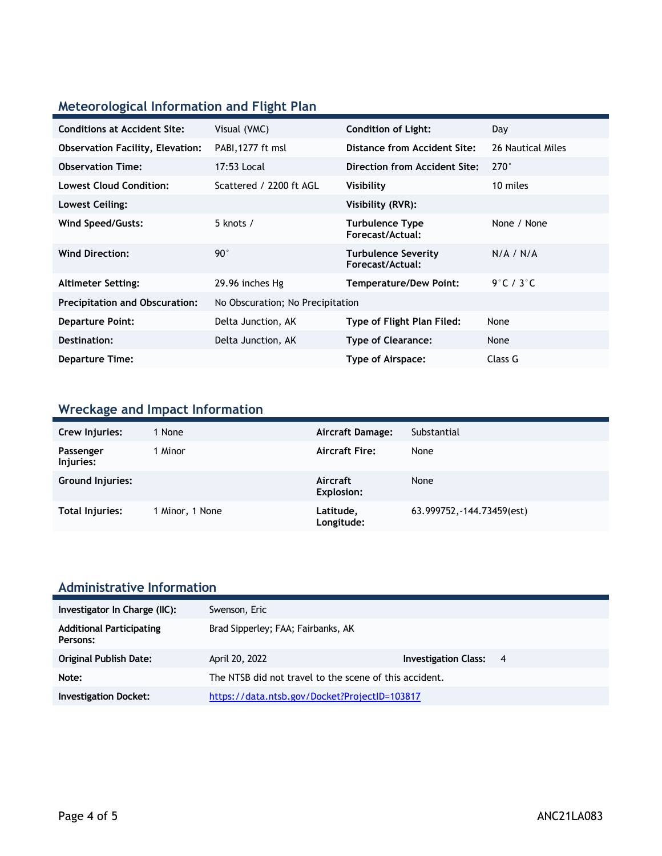### **Meteorological Information and Flight Plan**

| <b>Conditions at Accident Site:</b>     | Visual (VMC)                     | <b>Condition of Light:</b>                     | Day               |
|-----------------------------------------|----------------------------------|------------------------------------------------|-------------------|
| <b>Observation Facility, Elevation:</b> | PABI, 1277 ft msl                | Distance from Accident Site:                   | 26 Nautical Miles |
| <b>Observation Time:</b>                | 17:53 Local                      | Direction from Accident Site:                  | $270^\circ$       |
| <b>Lowest Cloud Condition:</b>          | Scattered / 2200 ft AGL          | Visibility                                     | 10 miles          |
| Lowest Ceiling:                         |                                  | Visibility (RVR):                              |                   |
| Wind Speed/Gusts:                       | 5 knots /                        | <b>Turbulence Type</b><br>Forecast/Actual:     | None / None       |
| <b>Wind Direction:</b>                  | $90^{\circ}$                     | <b>Turbulence Severity</b><br>Forecast/Actual: | N/A / N/A         |
| <b>Altimeter Setting:</b>               | 29.96 inches Hg                  | <b>Temperature/Dew Point:</b>                  | 9°C / 3°C         |
| <b>Precipitation and Obscuration:</b>   | No Obscuration; No Precipitation |                                                |                   |
| <b>Departure Point:</b>                 | Delta Junction, AK               | Type of Flight Plan Filed:                     | None              |
| Destination:                            | Delta Junction, AK               | <b>Type of Clearance:</b>                      | None              |
| <b>Departure Time:</b>                  |                                  | Type of Airspace:                              | Class G           |
|                                         |                                  |                                                |                   |

### **Wreckage and Impact Information**

| Crew Injuries:         | 1 None          | Aircraft Damage:              | Substantial                |
|------------------------|-----------------|-------------------------------|----------------------------|
| Passenger<br>Injuries: | 1 Minor         | <b>Aircraft Fire:</b>         | None                       |
| Ground Injuries:       |                 | Aircraft<br><b>Explosion:</b> | None                       |
| Total Injuries:        | 1 Minor, 1 None | Latitude,<br>Longitude:       | 63.999752, -144.73459(est) |

### **Administrative Information**

| Investigator In Charge (IIC):               | Swenson, Eric                                          |                               |  |
|---------------------------------------------|--------------------------------------------------------|-------------------------------|--|
| <b>Additional Participating</b><br>Persons: | Brad Sipperley; FAA; Fairbanks, AK                     |                               |  |
| Original Publish Date:                      | April 20, 2022                                         | <b>Investigation Class: 4</b> |  |
| Note:                                       | The NTSB did not travel to the scene of this accident. |                               |  |
| <b>Investigation Docket:</b>                | https://data.ntsb.gov/Docket?ProjectID=103817          |                               |  |